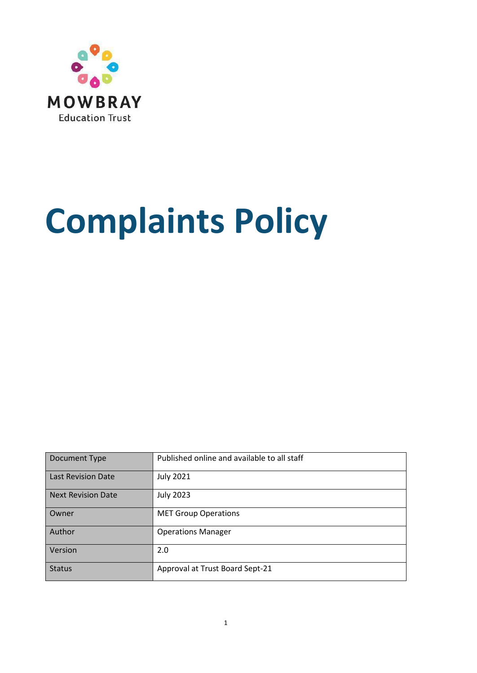

# **Complaints Policy**

| Document Type             | Published online and available to all staff |
|---------------------------|---------------------------------------------|
| <b>Last Revision Date</b> | <b>July 2021</b>                            |
| <b>Next Revision Date</b> | <b>July 2023</b>                            |
| Owner                     | <b>MET Group Operations</b>                 |
| Author                    | <b>Operations Manager</b>                   |
| Version                   | 2.0                                         |
| <b>Status</b>             | Approval at Trust Board Sept-21             |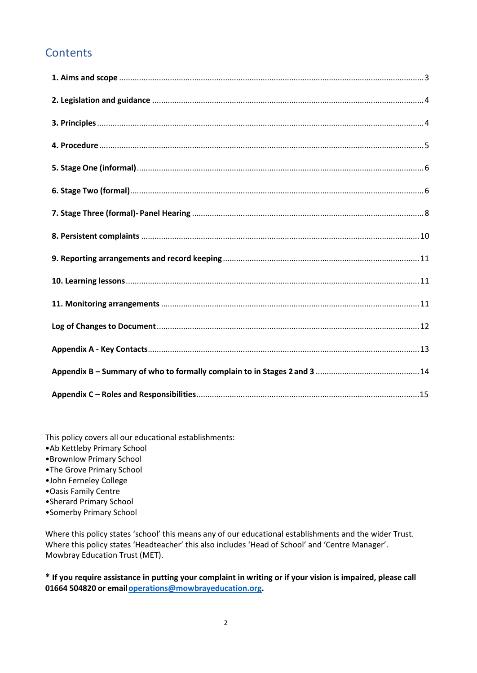# **Contents**

This policy covers all our educational establishments:

- •Ab Kettleby Primary School
- •Brownlow Primary School
- •The Grove Primary School
- •John Ferneley College
- •Oasis Family Centre
- •Sherard Primary School
- •Somerby Primary School

Where this policy states 'school' this means any of our educational establishments and the wider Trust. Where this policy states 'Headteacher' this also includes 'Head of School' and 'Centre Manager'. Mowbray Education Trust (MET).

**\* If you require assistance in putting your complaint in writing or if your vision is impaired, please call 01664 504820 or emai[loperations@mowbrayeducation.org.](mailto:operations@mowbrayeducation.org)**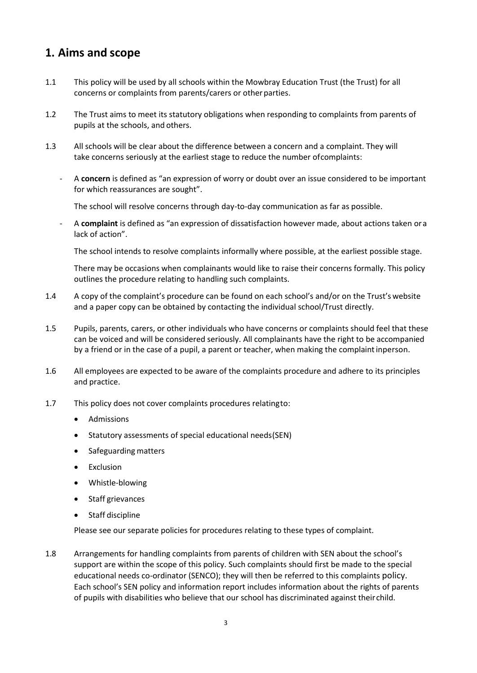## <span id="page-2-0"></span>**1. Aims and scope**

- 1.1 This policy will be used by all schools within the Mowbray Education Trust (the Trust) for all concerns or complaints from parents/carers or other parties.
- 1.2 The Trust aims to meet its statutory obligations when responding to complaints from parents of pupils at the schools, and others.
- 1.3 All schools will be clear about the difference between a concern and a complaint. They will take concerns seriously at the earliest stage to reduce the number ofcomplaints:
	- A **concern** is defined as "an expression of worry or doubt over an issue considered to be important for which reassurances are sought".

The school will resolve concerns through day-to-day communication as far as possible.

- A **complaint** is defined as "an expression of dissatisfaction however made, about actions taken ora lack of action".

The school intends to resolve complaints informally where possible, at the earliest possible stage.

There may be occasions when complainants would like to raise their concerns formally. This policy outlines the procedure relating to handling such complaints.

- 1.4 A copy of the complaint's procedure can be found on each school's and/or on the Trust's website and a paper copy can be obtained by contacting the individual school/Trust directly.
- 1.5 Pupils, parents, carers, or other individuals who have concerns or complaints should feel that these can be voiced and will be considered seriously. All complainants have the right to be accompanied by a friend or in the case of a pupil, a parent or teacher, when making the complaintinperson.
- 1.6 All employees are expected to be aware of the complaints procedure and adhere to its principles and practice.
- 1.7 This policy does not cover complaints procedures relatingto:
	- Admissions
	- Statutory assessments of special educational needs(SEN)
	- Safeguarding matters
	- **Exclusion**
	- Whistle-blowing
	- Staff grievances
	- Staff discipline

Please see our separate policies for procedures relating to these types of complaint.

1.8 Arrangements for handling complaints from parents of children with SEN about the school's support are within the scope of this policy. Such complaints should first be made to the special educational needs co-ordinator (SENCO); they will then be referred to this complaints policy. Each school's SEN policy and information report includes information about the rights of parents of pupils with disabilities who believe that our school has discriminated against their child.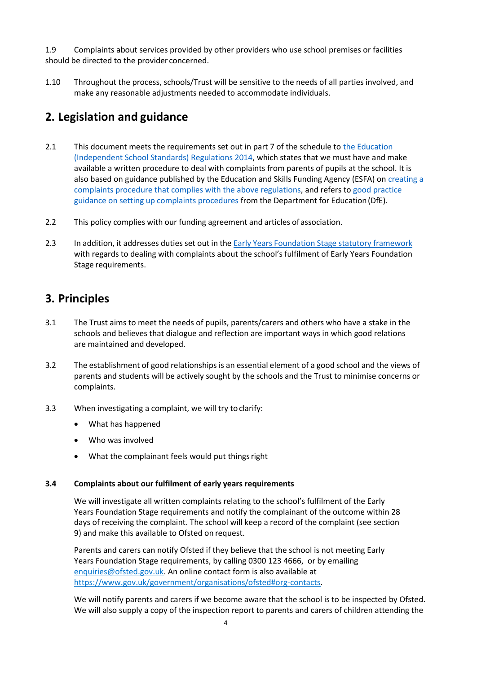1.9 Complaints about services provided by other providers who use school premises or facilities should be directed to the provider concerned.

1.10 Throughout the process, schools/Trust will be sensitive to the needs of all parties involved, and make any reasonable adjustments needed to accommodate individuals.

## <span id="page-3-0"></span>**2. Legislation and guidance**

- 2.1 This document meets the requirements set out in part 7 of the schedule to [the Education](http://www.legislation.gov.uk/uksi/2014/3283/schedule/made) [\(Independent School Standards\) Regulations 2014,](http://www.legislation.gov.uk/uksi/2014/3283/schedule/made) which states that we must have and make available a written procedure to deal with complaints from parents of pupils at the school. It is also based on guidance published by the Education and Skills Funding Agency (ESFA) on [creating a](https://www.gov.uk/government/publications/setting-up-an-academies-complaints-procedure) [complaints procedure that complies with the above regulations,](https://www.gov.uk/government/publications/setting-up-an-academies-complaints-procedure) and refers t[o good practice](https://www.gov.uk/government/publications/school-complaints-procedures) guidance on setting up complaints [procedures](https://www.gov.uk/government/publications/school-complaints-procedures) from the Department for Education(DfE).
- 2.2 This policy complies with our funding agreement and articles of association.
- 2.3 In addition, it addresses duties set out in the Early Years Foundation Stage statutory framework with regards to dealing with complaints about the school's fulfilment of Early Years Foundation Stage requirements.

## <span id="page-3-1"></span>**3. Principles**

- 3.1 The Trust aims to meet the needs of pupils, parents/carers and others who have a stake in the schools and believes that dialogue and reflection are important ways in which good relations are maintained and developed.
- 3.2 The establishment of good relationships is an essential element of a good school and the views of parents and students will be actively sought by the schools and the Trust to minimise concerns or complaints.
- 3.3 When investigating a complaint, we will try to clarify:
	- What has happened
	- Who was involved
	- What the complainant feels would put thingsright

#### **3.4 Complaints about our fulfilment of early years requirements**

We will investigate all written complaints relating to the school's fulfilment of the Early Years Foundation Stage requirements and notify the complainant of the outcome within 28 days of receiving the complaint. The school will keep a record of the complaint (see section 9) and make this available to Ofsted on request.

Parents and carers can notify Ofsted if they believe that the school is not meeting Early Years Foundation Stage requirements, by calling 0300 123 4666, or by emailing [enquiries@ofsted.gov.uk.](mailto:enquiries@ofsted.gov.uk) An online contact form is also available at [https://www.gov.uk/government/organisations/ofsted#org-contacts.](https://www.gov.uk/government/organisations/ofsted#org-contacts)

We will notify parents and carers if we become aware that the school is to be inspected by Ofsted. We will also supply a copy of the inspection report to parents and carers of children attending the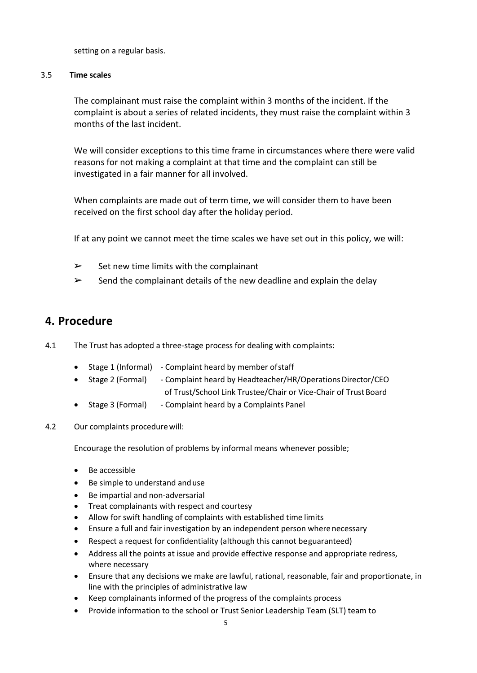setting on a regular basis.

#### 3.5 **Time scales**

The complainant must raise the complaint within 3 months of the incident. If the complaint is about a series of related incidents, they must raise the complaint within 3 months of the last incident.

We will consider exceptions to this time frame in circumstances where there were valid reasons for not making a complaint at that time and the complaint can still be investigated in a fair manner for all involved.

When complaints are made out of term time, we will consider them to have been received on the first school day after the holiday period.

If at any point we cannot meet the time scales we have set out in this policy, we will:

- $\triangleright$  Set new time limits with the complainant
- $\triangleright$  Send the complainant details of the new deadline and explain the delay

#### <span id="page-4-0"></span>**4. Procedure**

- 4.1 The Trust has adopted a three-stage process for dealing with complaints:
	- Stage 1 (Informal) Complaint heard by member ofstaff
	- Stage 2 (Formal) Complaint heard by Headteacher/HR/Operations Director/CEO of Trust/School Link Trustee/Chair or Vice-Chair of Trust Board
	- Stage 3 (Formal) Complaint heard by a Complaints Panel
- 4.2 Our complaints procedurewill:

Encourage the resolution of problems by informal means whenever possible;

- Be accessible
- Be simple to understand anduse
- Be impartial and non-adversarial
- Treat complainants with respect and courtesy
- Allow for swift handling of complaints with established time limits
- Ensure a full and fair investigation by an independent person wherenecessary
- Respect a request for confidentiality (although this cannot beguaranteed)
- Address all the points at issue and provide effective response and appropriate redress, where necessary
- Ensure that any decisions we make are lawful, rational, reasonable, fair and proportionate, in line with the principles of administrative law
- Keep complainants informed of the progress of the complaints process
- Provide information to the school or Trust Senior Leadership Team (SLT) team to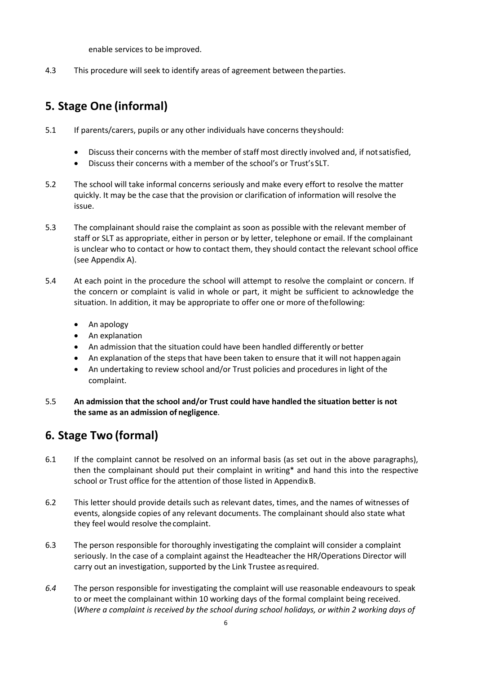enable services to be improved.

4.3 This procedure will seek to identify areas of agreement between theparties.

## <span id="page-5-0"></span>**5. Stage One (informal)**

- 5.1 If parents/carers, pupils or any other individuals have concerns theyshould:
	- Discuss their concerns with the member of staff most directly involved and, if notsatisfied,
	- Discuss their concerns with a member of the school's or Trust'sSLT.
- 5.2 The school will take informal concerns seriously and make every effort to resolve the matter quickly. It may be the case that the provision or clarification of information will resolve the issue.
- 5.3 The complainant should raise the complaint as soon as possible with the relevant member of staff or SLT as appropriate, either in person or by letter, telephone or email. If the complainant is unclear who to contact or how to contact them, they should contact the relevant school office (see Appendix A).
- 5.4 At each point in the procedure the school will attempt to resolve the complaint or concern. If the concern or complaint is valid in whole or part, it might be sufficient to acknowledge the situation. In addition, it may be appropriate to offer one or more of thefollowing:
	- An apology
	- An explanation
	- An admission that the situation could have been handled differently or better
	- An explanation of the steps that have been taken to ensure that it will not happenagain
	- An undertaking to review school and/or Trust policies and procedures in light of the complaint.
- 5.5 **An admission that the school and/or Trust could have handled the situation better is not the same as an admission of negligence**.

## <span id="page-5-1"></span>**6. Stage Two (formal)**

- 6.1 If the complaint cannot be resolved on an informal basis (as set out in the above paragraphs), then the complainant should put their complaint in writing\* and hand this into the respective school or Trust office for the attention of those listed in AppendixB.
- 6.2 This letter should provide details such as relevant dates, times, and the names of witnesses of events, alongside copies of any relevant documents. The complainant should also state what they feel would resolve the complaint.
- 6.3 The person responsible for thoroughly investigating the complaint will consider a complaint seriously. In the case of a complaint against the Headteacher the HR/Operations Director will carry out an investigation, supported by the Link Trustee asrequired.
- *6.4* The person responsible for investigating the complaint will use reasonable endeavours to speak to or meet the complainant within 10 working days of the formal complaint being received. (*Where a complaint is received by the school during school holidays, or within 2 working days of*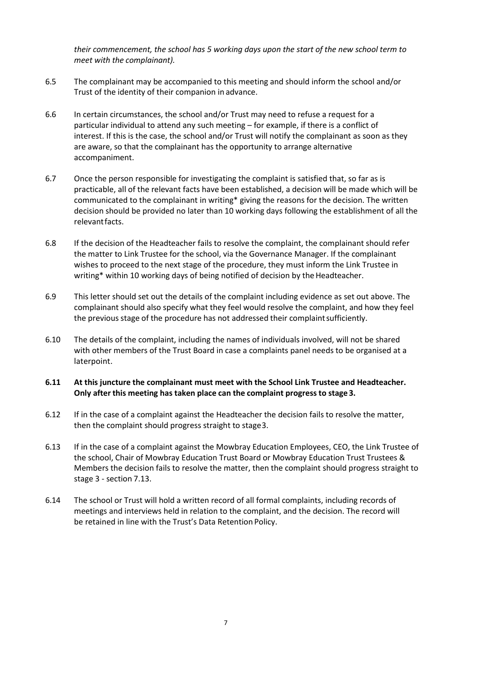*their commencement, the school has 5 working days upon the start of the new school term to meet with the complainant).*

- 6.5 The complainant may be accompanied to this meeting and should inform the school and/or Trust of the identity of their companion in advance.
- 6.6 In certain circumstances, the school and/or Trust may need to refuse a request for a particular individual to attend any such meeting – for example, if there is a conflict of interest. If this is the case, the school and/or Trust will notify the complainant as soon as they are aware, so that the complainant has the opportunity to arrange alternative accompaniment.
- 6.7 Once the person responsible for investigating the complaint is satisfied that, so far as is practicable, all of the relevant facts have been established, a decision will be made which will be communicated to the complainant in writing\* giving the reasons for the decision. The written decision should be provided no later than 10 working days following the establishment of all the relevantfacts.
- 6.8 If the decision of the Headteacher fails to resolve the complaint, the complainant should refer the matter to Link Trustee for the school, via the Governance Manager. If the complainant wishes to proceed to the next stage of the procedure, they must inform the Link Trustee in writing\* within 10 working days of being notified of decision by the Headteacher.
- 6.9 This letter should set out the details of the complaint including evidence as set out above. The complainant should also specify what they feel would resolve the complaint, and how they feel the previous stage of the procedure has not addressed their complaintsufficiently.
- 6.10 The details of the complaint, including the names of individuals involved, will not be shared with other members of the Trust Board in case a complaints panel needs to be organised at a laterpoint.
- **6.11 At this juncture the complainant must meet with the School Link Trustee and Headteacher. Only after this meeting has taken place can the complaint progress to stage3.**
- 6.12 If in the case of a complaint against the Headteacher the decision fails to resolve the matter, then the complaint should progress straight to stage3.
- 6.13 If in the case of a complaint against the Mowbray Education Employees, CEO, the Link Trustee of the school, Chair of Mowbray Education Trust Board or Mowbray Education Trust Trustees & Members the decision fails to resolve the matter, then the complaint should progress straight to stage 3 - section 7.13.
- <span id="page-6-0"></span>6.14 The school or Trust will hold a written record of all formal complaints, including records of meetings and interviews held in relation to the complaint, and the decision. The record will be retained in line with the Trust's Data Retention Policy.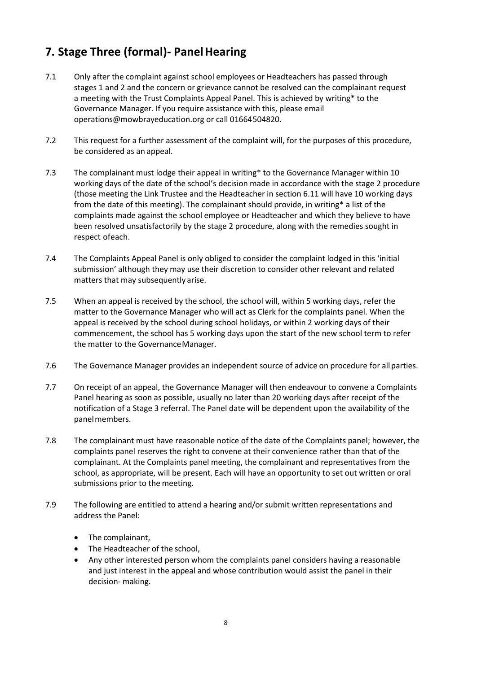## **7. Stage Three (formal)- PanelHearing**

- 7.1 Only after the complaint against school employees or Headteachers has passed through stages 1 and 2 and the concern or grievance cannot be resolved can the complainant request a meeting with the Trust Complaints Appeal Panel. This is achieved by writing\* to the Governance Manager. If you require assistance with this, please email [operations@mowbrayeducation.org](mailto:operations@mowbrayeducation.org) or call 01664504820.
- 7.2 This request for a further assessment of the complaint will, for the purposes of this procedure, be considered as an appeal.
- 7.3 The complainant must lodge their appeal in writing\* to the Governance Manager within 10 working days of the date of the school's decision made in accordance with the stage 2 procedure (those meeting the Link Trustee and the Headteacher in section 6.11 will have 10 working days from the date of this meeting). The complainant should provide, in writing\* a list of the complaints made against the school employee or Headteacher and which they believe to have been resolved unsatisfactorily by the stage 2 procedure, along with the remedies sought in respect ofeach.
- 7.4 The Complaints Appeal Panel is only obliged to consider the complaint lodged in this 'initial submission' although they may use their discretion to consider other relevant and related matters that may subsequently arise.
- 7.5 When an appeal is received by the school, the school will, within 5 working days, refer the matter to the Governance Manager who will act as Clerk for the complaints panel. When the appeal is received by the school during school holidays, or within 2 working days of their commencement, the school has 5 working days upon the start of the new school term to refer the matter to the Governance Manager.
- 7.6 The Governance Manager provides an independent source of advice on procedure for allparties.
- 7.7 On receipt of an appeal, the Governance Manager will then endeavour to convene a Complaints Panel hearing as soon as possible, usually no later than 20 working days after receipt of the notification of a Stage 3 referral. The Panel date will be dependent upon the availability of the panelmembers.
- 7.8 The complainant must have reasonable notice of the date of the Complaints panel; however, the complaints panel reserves the right to convene at their convenience rather than that of the complainant. At the Complaints panel meeting, the complainant and representatives from the school, as appropriate, will be present. Each will have an opportunity to set out written or oral submissions prior to the meeting.
- 7.9 The following are entitled to attend a hearing and/or submit written representations and address the Panel:
	- The complainant,
	- The Headteacher of the school,
	- Any other interested person whom the complaints panel considers having a reasonable and just interest in the appeal and whose contribution would assist the panel in their decision- making.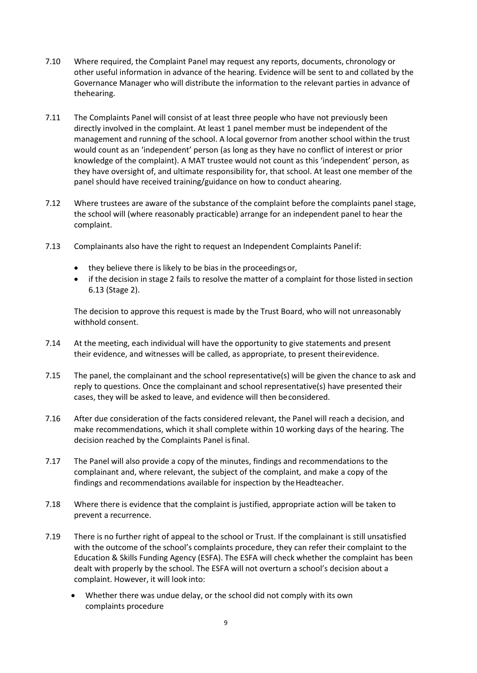- 7.10 Where required, the Complaint Panel may request any reports, documents, chronology or other useful information in advance of the hearing. Evidence will be sent to and collated by the Governance Manager who will distribute the information to the relevant parties in advance of thehearing.
- 7.11 The Complaints Panel will consist of at least three people who have not previously been directly involved in the complaint. At least 1 panel member must be independent of the management and running of the school. A local governor from another school within the trust would count as an 'independent' person (as long as they have no conflict of interest or prior knowledge of the complaint). A MAT trustee would not count as this 'independent' person, as they have oversight of, and ultimate responsibility for, that school. At least one member of the panel should have received training/guidance on how to conduct ahearing.
- 7.12 Where trustees are aware of the substance of the complaint before the complaints panel stage, the school will (where reasonably practicable) arrange for an independent panel to hear the complaint.
- 7.13 Complainants also have the right to request an Independent Complaints Panelif:
	- they believe there is likely to be bias in the proceedingsor,
	- if the decision in stage 2 fails to resolve the matter of a complaint for those listed in section 6.13 (Stage 2).

The decision to approve this request is made by the Trust Board, who will not unreasonably withhold consent.

- 7.14 At the meeting, each individual will have the opportunity to give statements and present their evidence, and witnesses will be called, as appropriate, to present theirevidence.
- 7.15 The panel, the complainant and the school representative(s) will be given the chance to ask and reply to questions. Once the complainant and school representative(s) have presented their cases, they will be asked to leave, and evidence will then beconsidered.
- 7.16 After due consideration of the facts considered relevant, the Panel will reach a decision, and make recommendations, which it shall complete within 10 working days of the hearing. The decision reached by the Complaints Panel isfinal.
- 7.17 The Panel will also provide a copy of the minutes, findings and recommendations to the complainant and, where relevant, the subject of the complaint, and make a copy of the findings and recommendations available for inspection by the Headteacher.
- 7.18 Where there is evidence that the complaint is justified, appropriate action will be taken to prevent a recurrence.
- 7.19 There is no further right of appeal to the school or Trust. If the complainant is still unsatisfied with the outcome of the school's complaints procedure, they can refer their complaint to the Education & Skills Funding Agency (ESFA). The ESFA will check whether the complaint has been dealt with properly by the school. The ESFA will not overturn a school's decision about a complaint. However, it will look into:
	- Whether there was undue delay, or the school did not comply with its own complaints procedure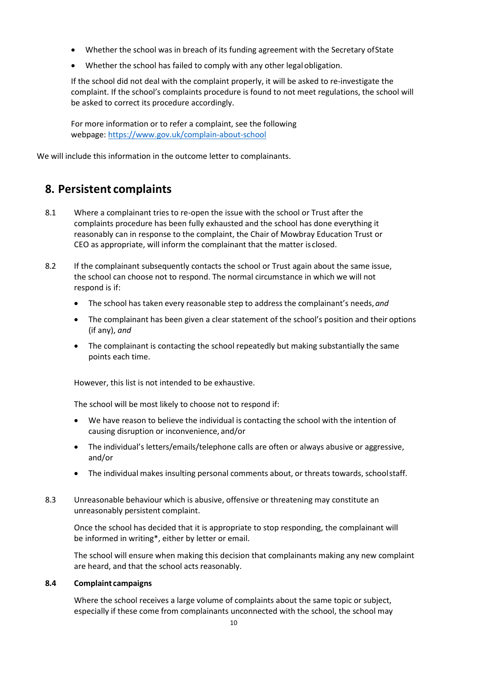- Whether the school was in breach of its funding agreement with the Secretary ofState
- Whether the school has failed to comply with any other legalobligation.

If the school did not deal with the complaint properly, it will be asked to re-investigate the complaint. If the school's complaints procedure is found to not meet regulations, the school will be asked to correct its procedure accordingly.

For more information or to refer a complaint, see the following webpage:<https://www.gov.uk/complain-about-school>

We will include this information in the outcome letter to complainants.

### <span id="page-9-0"></span>**8. Persistent complaints**

- 8.1 Where a complainant tries to re-open the issue with the school or Trust after the complaints procedure has been fully exhausted and the school has done everything it reasonably can in response to the complaint, the Chair of Mowbray Education Trust or CEO as appropriate, will inform the complainant that the matter is closed.
- 8.2 If the complainant subsequently contacts the school or Trust again about the same issue, the school can choose not to respond. The normal circumstance in which we will not respond is if:
	- The school has taken every reasonable step to address the complainant's needs, *and*
	- The complainant has been given a clear statement of the school's position and their options (if any), *and*
	- The complainant is contacting the school repeatedly but making substantially the same points each time.

However, this list is not intended to be exhaustive.

The school will be most likely to choose not to respond if:

- We have reason to believe the individual is contacting the school with the intention of causing disruption or inconvenience, and/or
- The individual's letters/emails/telephone calls are often or always abusive or aggressive, and/or
- The individual makes insulting personal comments about, or threats towards, schoolstaff.
- 8.3 Unreasonable behaviour which is abusive, offensive or threatening may constitute an unreasonably persistent complaint.

Once the school has decided that it is appropriate to stop responding, the complainant will be informed in writing\*, either by letter or email.

The school will ensure when making this decision that complainants making any new complaint are heard, and that the school acts reasonably.

#### **8.4 Complaint campaigns**

Where the school receives a large volume of complaints about the same topic or subject, especially if these come from complainants unconnected with the school, the school may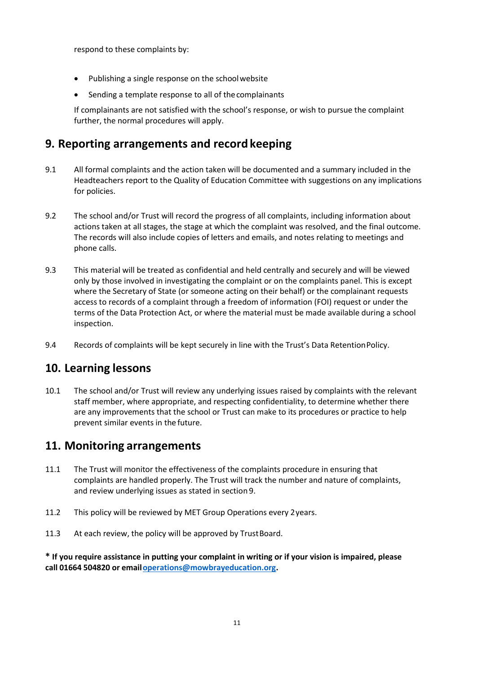respond to these complaints by:

- Publishing a single response on the schoolwebsite
- Sending a template response to all of thecomplainants

If complainants are not satisfied with the school's response, or wish to pursue the complaint further, the normal procedures will apply.

## <span id="page-10-0"></span>**9. Reporting arrangements and recordkeeping**

- 9.1 All formal complaints and the action taken will be documented and a summary included in the Headteachers report to the Quality of Education Committee with suggestions on any implications for policies.
- 9.2 The school and/or Trust will record the progress of all complaints, including information about actions taken at all stages, the stage at which the complaint was resolved, and the final outcome. The records will also include copies of letters and emails, and notes relating to meetings and phone calls.
- 9.3 This material will be treated as confidential and held centrally and securely and will be viewed only by those involved in investigating the complaint or on the complaints panel. This is except where the Secretary of State (or someone acting on their behalf) or the complainant requests access to records of a complaint through a freedom of information (FOI) request or under the terms of the Data Protection Act, or where the material must be made available during a school inspection.
- 9.4 Records of complaints will be kept securely in line with the Trust's Data Retention Policy.

### <span id="page-10-1"></span>**10. Learning lessons**

10.1 The school and/or Trust will review any underlying issues raised by complaints with the relevant staff member, where appropriate, and respecting confidentiality, to determine whether there are any improvements that the school or Trust can make to its procedures or practice to help prevent similar events in the future.

### <span id="page-10-2"></span>**11. Monitoring arrangements**

- 11.1 The Trust will monitor the effectiveness of the complaints procedure in ensuring that complaints are handled properly. The Trust will track the number and nature of complaints, and review underlying issues as stated in section 9.
- 11.2 This policy will be reviewed by MET Group Operations every 2years.
- 11.3 At each review, the policy will be approved by Trust Board.

**\* If you require assistance in putting your complaint in writing or if your vision is impaired, please call 01664 504820 or emai[loperations@mowbrayeducation.org.](mailto:operations@mowbrayeducation.org)**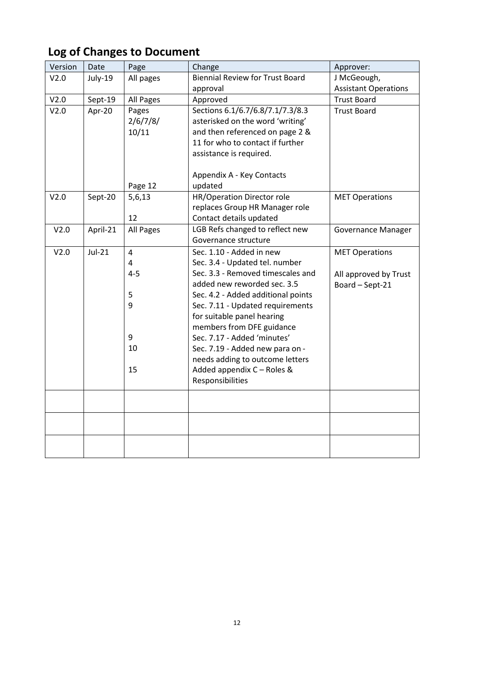| Version | Date     | Page                                                      | Change                                                                                                                                                                                                                                                                                                                                                                                                                     | Approver:                                                         |
|---------|----------|-----------------------------------------------------------|----------------------------------------------------------------------------------------------------------------------------------------------------------------------------------------------------------------------------------------------------------------------------------------------------------------------------------------------------------------------------------------------------------------------------|-------------------------------------------------------------------|
| V2.0    | July-19  | All pages                                                 | <b>Biennial Review for Trust Board</b>                                                                                                                                                                                                                                                                                                                                                                                     | J McGeough,                                                       |
|         |          |                                                           | approval                                                                                                                                                                                                                                                                                                                                                                                                                   | <b>Assistant Operations</b>                                       |
| V2.0    | Sept-19  | All Pages                                                 | Approved                                                                                                                                                                                                                                                                                                                                                                                                                   | <b>Trust Board</b>                                                |
| V2.0    | Apr-20   | Pages<br>2/6/7/8/<br>10/11                                | Sections 6.1/6.7/6.8/7.1/7.3/8.3<br>asterisked on the word 'writing'<br>and then referenced on page 2 &<br>11 for who to contact if further<br>assistance is required.<br>Appendix A - Key Contacts                                                                                                                                                                                                                        | <b>Trust Board</b>                                                |
|         |          | Page 12                                                   | updated                                                                                                                                                                                                                                                                                                                                                                                                                    |                                                                   |
| V2.0    | Sept-20  | 5,6,13<br>12                                              | HR/Operation Director role<br>replaces Group HR Manager role<br>Contact details updated                                                                                                                                                                                                                                                                                                                                    | <b>MET Operations</b>                                             |
| V2.0    | April-21 | All Pages                                                 | LGB Refs changed to reflect new<br>Governance structure                                                                                                                                                                                                                                                                                                                                                                    | <b>Governance Manager</b>                                         |
| V2.0    | $Jul-21$ | $\overline{4}$<br>4<br>$4 - 5$<br>5<br>9<br>9<br>10<br>15 | Sec. 1.10 - Added in new<br>Sec. 3.4 - Updated tel. number<br>Sec. 3.3 - Removed timescales and<br>added new reworded sec. 3.5<br>Sec. 4.2 - Added additional points<br>Sec. 7.11 - Updated requirements<br>for suitable panel hearing<br>members from DFE guidance<br>Sec. 7.17 - Added 'minutes'<br>Sec. 7.19 - Added new para on -<br>needs adding to outcome letters<br>Added appendix C - Roles &<br>Responsibilities | <b>MET Operations</b><br>All approved by Trust<br>Board - Sept-21 |
|         |          |                                                           |                                                                                                                                                                                                                                                                                                                                                                                                                            |                                                                   |
|         |          |                                                           |                                                                                                                                                                                                                                                                                                                                                                                                                            |                                                                   |
|         |          |                                                           |                                                                                                                                                                                                                                                                                                                                                                                                                            |                                                                   |

# <span id="page-11-0"></span>**Log of Changes to Document**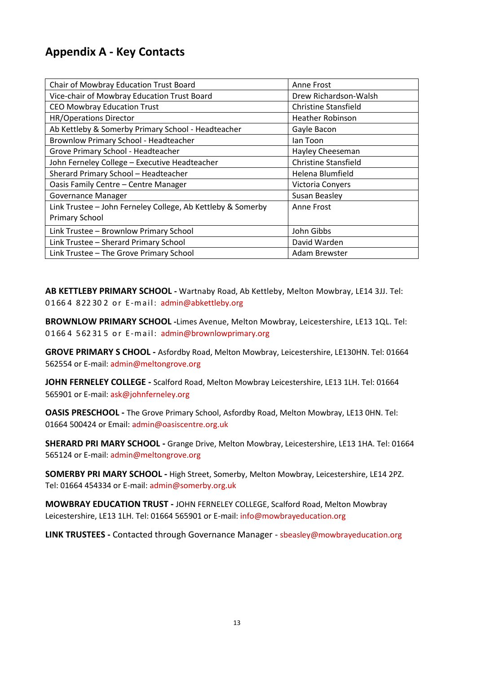## <span id="page-12-0"></span>**Appendix A - Key Contacts**

| Chair of Mowbray Education Trust Board                      | Anne Frost                  |
|-------------------------------------------------------------|-----------------------------|
| Vice-chair of Mowbray Education Trust Board                 | Drew Richardson-Walsh       |
| <b>CEO Mowbray Education Trust</b>                          | Christine Stansfield        |
| <b>HR/Operations Director</b>                               | <b>Heather Robinson</b>     |
| Ab Kettleby & Somerby Primary School - Headteacher          | Gayle Bacon                 |
| Brownlow Primary School - Headteacher                       | lan Toon                    |
| Grove Primary School - Headteacher                          | Hayley Cheeseman            |
| John Ferneley College - Executive Headteacher               | <b>Christine Stansfield</b> |
| Sherard Primary School - Headteacher                        | Helena Blumfield            |
| Oasis Family Centre - Centre Manager                        | Victoria Conyers            |
| Governance Manager                                          | Susan Beasley               |
| Link Trustee - John Ferneley College, Ab Kettleby & Somerby | Anne Frost                  |
| <b>Primary School</b>                                       |                             |
| Link Trustee - Brownlow Primary School                      | John Gibbs                  |
| Link Trustee - Sherard Primary School                       | David Warden                |
| Link Trustee - The Grove Primary School                     | Adam Brewster               |

**AB KETTLEBY PRIMARY SCHOOL -** Wartnaby Road, Ab Kettleby, Melton Mowbray, LE14 3JJ. Tel: 0166 4 822 30 2 or E-mail: [admin@abkettleby.org](mailto:admin@abkettleby.org)

**BROWNLOW PRIMARY SCHOOL -**Limes Avenue, Melton Mowbray, Leicestershire, LE13 1QL. Tel: 01664 562 315 or E-mail: [admin@brownlowprimary.org](mailto:admin@brownlowprimary.org)

**GROVE PRIMARY S CHOOL -** Asfordby Road, Melton Mowbray, Leicestershire, LE130HN. Tel: 01664 562554 or E-mail: [admin@meltongrove.org](mailto:admin@meltongrove.org)

**JOHN FERNELEY COLLEGE -** Scalford Road, Melton Mowbray Leicestershire, LE13 1LH. Tel: 01664 565901 or E-mail: [ask@johnferneley.org](mailto:ask@johnferneley.org)

**OASIS PRESCHOOL -** The Grove Primary School, Asfordby Road, Melton Mowbray, LE13 0HN. Tel: 01664 500424 or Email: [admin@oasiscentre.org.uk](mailto:admin@oasiscentre.org.uk)

**SHERARD PRI MARY SCHOOL -** Grange Drive, Melton Mowbray, Leicestershire, LE13 1HA. Tel: 01664 565124 or E-mail: [admin@meltongrove.org](mailto:admin@meltongrove.org)

**SOMERBY PRI MARY SCHOOL -** High Street, Somerby, Melton Mowbray, Leicestershire, LE14 2PZ. Tel: 01664 454334 or E-mail: [admin@somerby.org.uk](mailto:admin@somerby.org.uk)

**MOWBRAY EDUCATION TRUST -** JOHN FERNELEY COLLEGE, Scalford Road, Melton Mowbray Leicestershire, LE13 1LH. Tel: 01664 565901 or E-mail: [info@mowbrayeducation.org](mailto:info@mowbrayeducation.org)

**LINK TRUSTEES -** Contacted through Governance Manager - [sbeasley@mowbrayeducation.org](mailto:sbeasley@mowbrayeducation.org)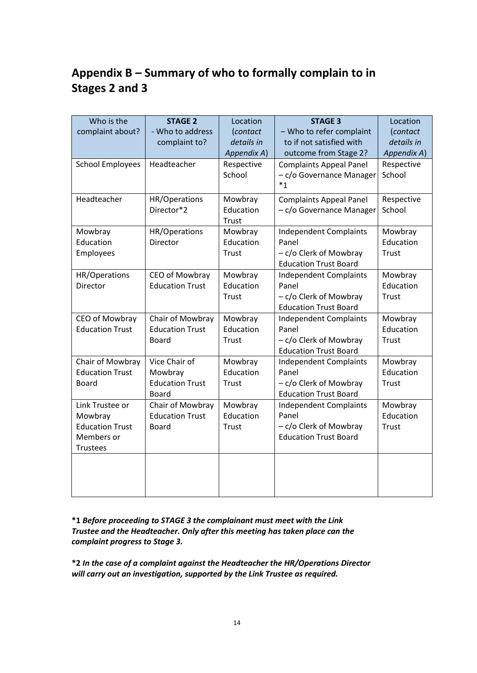# <span id="page-13-0"></span>**Appendix B – Summary of who to formally complain to in Stages 2 and 3**

| Who is the<br>complaint about?                                                        | <b>STAGE 2</b><br>- Who to address<br>complaint to?                | Location<br>(contact<br>details in   | <b>STAGE 3</b><br>- Who to refer complaint<br>to if not satisfied with                           | Location<br>(contact<br>details in   |
|---------------------------------------------------------------------------------------|--------------------------------------------------------------------|--------------------------------------|--------------------------------------------------------------------------------------------------|--------------------------------------|
| <b>School Employees</b>                                                               | Headteacher                                                        | Appendix A)<br>Respective<br>School  | outcome from Stage 2?<br><b>Complaints Appeal Panel</b><br>- c/o Governance Manager<br>$*_{1}$   | Appendix A)<br>Respective<br>School  |
| Headteacher                                                                           | HR/Operations<br>Director*2                                        | Mowbray<br>Education<br>Trust        | <b>Complaints Appeal Panel</b><br>- c/o Governance Manager                                       | Respective<br>School                 |
| Mowbray<br>Education<br>Employees                                                     | HR/Operations<br>Director                                          | Mowbray<br>Education<br>Trust        | <b>Independent Complaints</b><br>Panel<br>- c/o Clerk of Mowbray<br><b>Education Trust Board</b> | Mowbray<br>Education<br><b>Trust</b> |
| HR/Operations<br>Director                                                             | CEO of Mowbray<br><b>Education Trust</b>                           | Mowbray<br>Education<br><b>Trust</b> | <b>Independent Complaints</b><br>Panel<br>- c/o Clerk of Mowbray<br><b>Education Trust Board</b> | Mowbray<br>Education<br><b>Trust</b> |
| CEO of Mowbray<br><b>Education Trust</b>                                              | Chair of Mowbray<br><b>Education Trust</b><br>Board                | Mowbray<br>Education<br>Trust        | <b>Independent Complaints</b><br>Panel<br>- c/o Clerk of Mowbray<br><b>Education Trust Board</b> | Mowbray<br>Education<br><b>Trust</b> |
| Chair of Mowbray<br><b>Education Trust</b><br>Board                                   | Vice Chair of<br>Mowbray<br><b>Education Trust</b><br><b>Board</b> | Mowbray<br>Education<br><b>Trust</b> | <b>Independent Complaints</b><br>Panel<br>- c/o Clerk of Mowbray<br><b>Education Trust Board</b> | Mowbray<br>Education<br><b>Trust</b> |
| Link Trustee or<br>Mowbray<br><b>Education Trust</b><br>Members or<br><b>Trustees</b> | Chair of Mowbray<br><b>Education Trust</b><br><b>Board</b>         | Mowbray<br>Education<br><b>Trust</b> | <b>Independent Complaints</b><br>Panel<br>- c/o Clerk of Mowbray<br><b>Education Trust Board</b> | Mowbray<br>Education<br><b>Trust</b> |
|                                                                                       |                                                                    |                                      |                                                                                                  |                                      |

**\*1** *Before proceeding to STAGE 3 the complainant must meet with the Link Trustee and the Headteacher. Only after this meeting has taken place can the complaint progress to Stage 3.*

**\*2** *In the case of a complaint against the Headteacher the HR/Operations Director will carry out an investigation, supported by the Link Trustee as required.*